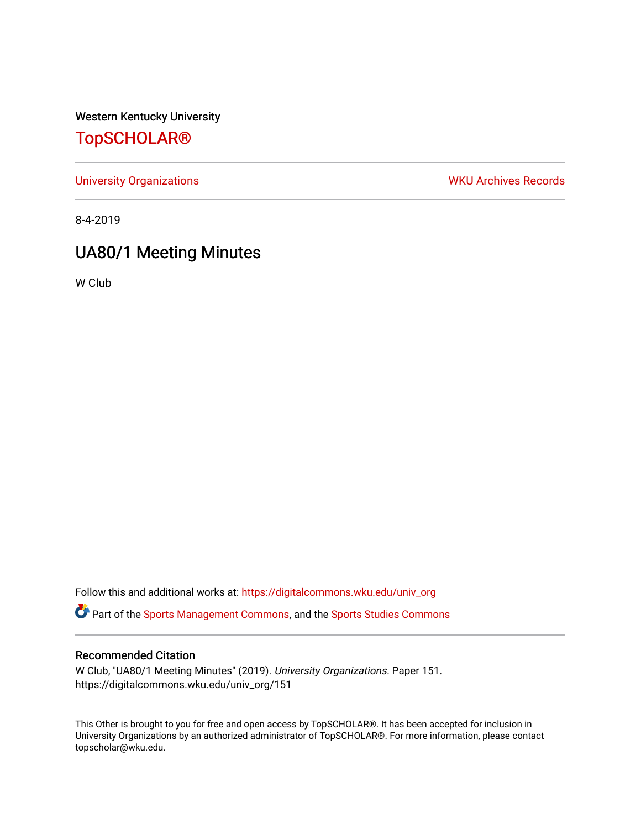Western Kentucky University

# [TopSCHOLAR®](https://digitalcommons.wku.edu/)

[University Organizations](https://digitalcommons.wku.edu/univ_org) **WKU Archives Records** 

8-4-2019

# UA80/1 Meeting Minutes

W Club

Follow this and additional works at: [https://digitalcommons.wku.edu/univ\\_org](https://digitalcommons.wku.edu/univ_org?utm_source=digitalcommons.wku.edu%2Funiv_org%2F151&utm_medium=PDF&utm_campaign=PDFCoverPages) 

**C** Part of the [Sports Management Commons](http://network.bepress.com/hgg/discipline/1193?utm_source=digitalcommons.wku.edu%2Funiv_org%2F151&utm_medium=PDF&utm_campaign=PDFCoverPages), and the [Sports Studies Commons](http://network.bepress.com/hgg/discipline/1198?utm_source=digitalcommons.wku.edu%2Funiv_org%2F151&utm_medium=PDF&utm_campaign=PDFCoverPages)

#### Recommended Citation

W Club, "UA80/1 Meeting Minutes" (2019). University Organizations. Paper 151. https://digitalcommons.wku.edu/univ\_org/151

This Other is brought to you for free and open access by TopSCHOLAR®. It has been accepted for inclusion in University Organizations by an authorized administrator of TopSCHOLAR®. For more information, please contact topscholar@wku.edu.